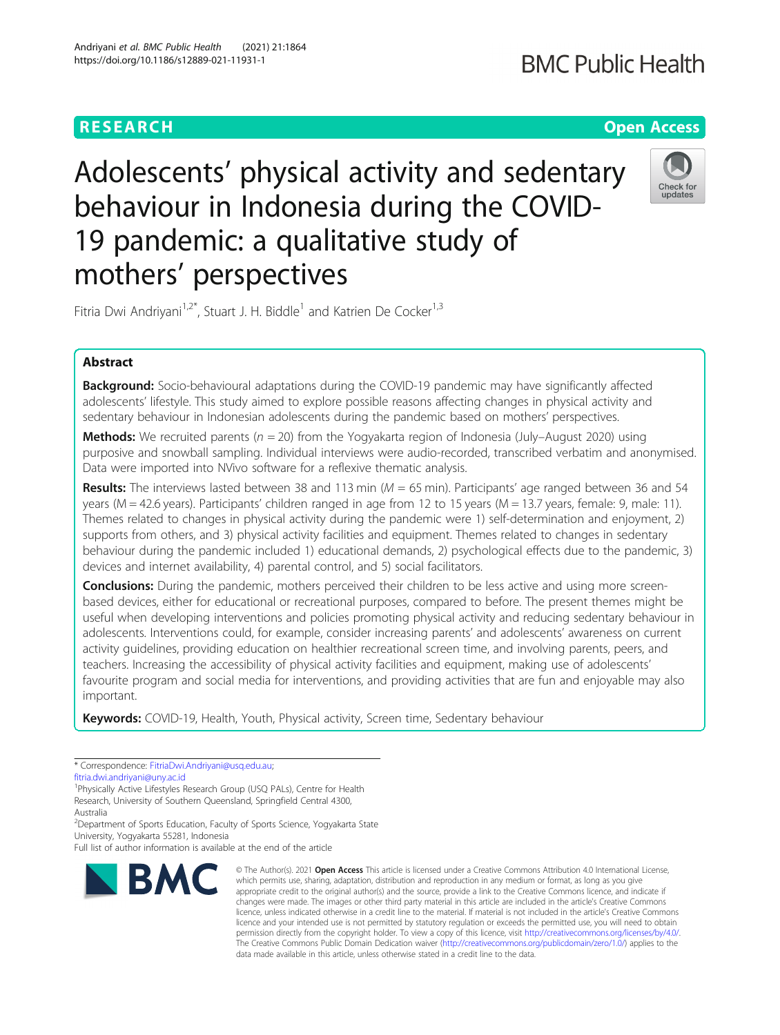## **BMC Public Health**

## **RESEARCH CHE Open Access**

# Adolescents' physical activity and sedentary behaviour in Indonesia during the COVID-19 pandemic: a qualitative study of mothers' perspectives



Fitria Dwi Andriyani<sup>1,2\*</sup>, Stuart J. H. Biddle<sup>1</sup> and Katrien De Cocker<sup>1,3</sup>

## Abstract

**Background:** Socio-behavioural adaptations during the COVID-19 pandemic may have significantly affected adolescents' lifestyle. This study aimed to explore possible reasons affecting changes in physical activity and sedentary behaviour in Indonesian adolescents during the pandemic based on mothers' perspectives.

**Methods:** We recruited parents ( $n = 20$ ) from the Yogyakarta region of Indonesia (July–August 2020) using purposive and snowball sampling. Individual interviews were audio-recorded, transcribed verbatim and anonymised. Data were imported into NVivo software for a reflexive thematic analysis.

**Results:** The interviews lasted between 38 and 113 min ( $M = 65$  min). Participants' age ranged between 36 and 54 years (M = 42.6 years). Participants' children ranged in age from 12 to 15 years (M = 13.7 years, female: 9, male: 11). Themes related to changes in physical activity during the pandemic were 1) self-determination and enjoyment, 2) supports from others, and 3) physical activity facilities and equipment. Themes related to changes in sedentary behaviour during the pandemic included 1) educational demands, 2) psychological effects due to the pandemic, 3) devices and internet availability, 4) parental control, and 5) social facilitators.

**Conclusions:** During the pandemic, mothers perceived their children to be less active and using more screenbased devices, either for educational or recreational purposes, compared to before. The present themes might be useful when developing interventions and policies promoting physical activity and reducing sedentary behaviour in adolescents. Interventions could, for example, consider increasing parents' and adolescents' awareness on current activity guidelines, providing education on healthier recreational screen time, and involving parents, peers, and teachers. Increasing the accessibility of physical activity facilities and equipment, making use of adolescents' favourite program and social media for interventions, and providing activities that are fun and enjoyable may also important.

Keywords: COVID-19, Health, Youth, Physical activity, Screen time, Sedentary behaviour

\* Correspondence: [FitriaDwi.Andriyani@usq.edu.au;](mailto:FitriaDwi.Andriyani@usq.edu.au)

[fitria.dwi.andriyani@uny.ac.id](mailto:fitria.dwi.andriyani@uny.ac.id)

<sup>1</sup>Physically Active Lifestyles Research Group (USQ PALs), Centre for Health Research, University of Southern Queensland, Springfield Central 4300, Australia

<sup>2</sup>Department of Sports Education, Faculty of Sports Science, Yogyakarta State University, Yogyakarta 55281, Indonesia

Full list of author information is available at the end of the article



© The Author(s), 2021 **Open Access** This article is licensed under a Creative Commons Attribution 4.0 International License, which permits use, sharing, adaptation, distribution and reproduction in any medium or format, as long as you give appropriate credit to the original author(s) and the source, provide a link to the Creative Commons licence, and indicate if changes were made. The images or other third party material in this article are included in the article's Creative Commons licence, unless indicated otherwise in a credit line to the material. If material is not included in the article's Creative Commons licence and your intended use is not permitted by statutory regulation or exceeds the permitted use, you will need to obtain permission directly from the copyright holder. To view a copy of this licence, visit [http://creativecommons.org/licenses/by/4.0/.](http://creativecommons.org/licenses/by/4.0/) The Creative Commons Public Domain Dedication waiver [\(http://creativecommons.org/publicdomain/zero/1.0/](http://creativecommons.org/publicdomain/zero/1.0/)) applies to the data made available in this article, unless otherwise stated in a credit line to the data.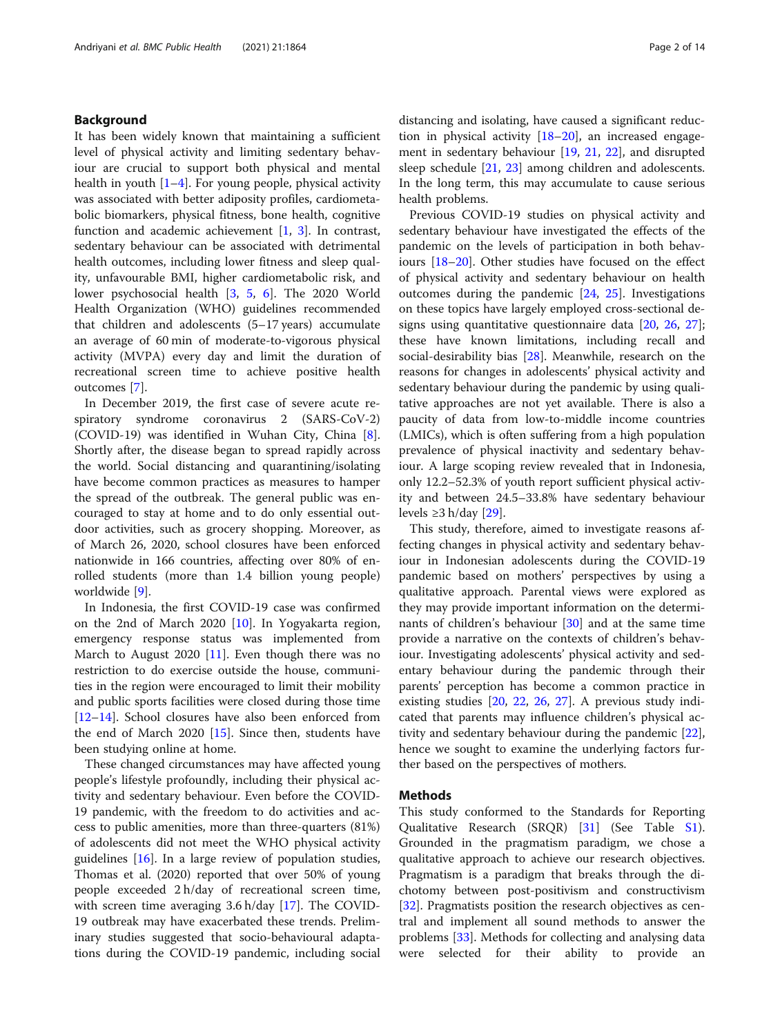## Background

It has been widely known that maintaining a sufficient level of physical activity and limiting sedentary behaviour are crucial to support both physical and mental health in youth [\[1](#page-11-0)–[4\]](#page-11-0). For young people, physical activity was associated with better adiposity profiles, cardiometabolic biomarkers, physical fitness, bone health, cognitive function and academic achievement [[1,](#page-11-0) [3](#page-11-0)]. In contrast, sedentary behaviour can be associated with detrimental health outcomes, including lower fitness and sleep quality, unfavourable BMI, higher cardiometabolic risk, and lower psychosocial health [[3,](#page-11-0) [5](#page-11-0), [6\]](#page-11-0). The 2020 World Health Organization (WHO) guidelines recommended that children and adolescents (5–17 years) accumulate an average of 60 min of moderate-to-vigorous physical activity (MVPA) every day and limit the duration of recreational screen time to achieve positive health outcomes [\[7](#page-11-0)].

In December 2019, the first case of severe acute respiratory syndrome coronavirus 2 (SARS-CoV-2) (COVID-19) was identified in Wuhan City, China [\[8](#page-11-0)]. Shortly after, the disease began to spread rapidly across the world. Social distancing and quarantining/isolating have become common practices as measures to hamper the spread of the outbreak. The general public was encouraged to stay at home and to do only essential outdoor activities, such as grocery shopping. Moreover, as of March 26, 2020, school closures have been enforced nationwide in 166 countries, affecting over 80% of enrolled students (more than 1.4 billion young people) worldwide [\[9](#page-11-0)].

In Indonesia, the first COVID-19 case was confirmed on the 2nd of March 2020 [\[10\]](#page-11-0). In Yogyakarta region, emergency response status was implemented from March to August 2020 [[11\]](#page-11-0). Even though there was no restriction to do exercise outside the house, communities in the region were encouraged to limit their mobility and public sports facilities were closed during those time [[12](#page-11-0)–[14](#page-11-0)]. School closures have also been enforced from the end of March 2020 [\[15](#page-11-0)]. Since then, students have been studying online at home.

These changed circumstances may have affected young people's lifestyle profoundly, including their physical activity and sedentary behaviour. Even before the COVID-19 pandemic, with the freedom to do activities and access to public amenities, more than three-quarters (81%) of adolescents did not meet the WHO physical activity guidelines [[16\]](#page-11-0). In a large review of population studies, Thomas et al. (2020) reported that over 50% of young people exceeded 2 h/day of recreational screen time, with screen time averaging 3.6 h/day [[17](#page-11-0)]. The COVID-19 outbreak may have exacerbated these trends. Preliminary studies suggested that socio-behavioural adaptations during the COVID-19 pandemic, including social

distancing and isolating, have caused a significant reduction in physical activity  $[18–20]$  $[18–20]$  $[18–20]$ , an increased engagement in sedentary behaviour [\[19,](#page-11-0) [21,](#page-11-0) [22](#page-11-0)], and disrupted sleep schedule [[21,](#page-11-0) [23](#page-11-0)] among children and adolescents. In the long term, this may accumulate to cause serious health problems.

Previous COVID-19 studies on physical activity and sedentary behaviour have investigated the effects of the pandemic on the levels of participation in both behaviours [\[18](#page-11-0)–[20\]](#page-11-0). Other studies have focused on the effect of physical activity and sedentary behaviour on health outcomes during the pandemic [[24,](#page-12-0) [25](#page-12-0)]. Investigations on these topics have largely employed cross-sectional designs using quantitative questionnaire data [\[20](#page-11-0), [26](#page-12-0), [27](#page-12-0)]; these have known limitations, including recall and social-desirability bias [[28](#page-12-0)]. Meanwhile, research on the reasons for changes in adolescents' physical activity and sedentary behaviour during the pandemic by using qualitative approaches are not yet available. There is also a paucity of data from low-to-middle income countries (LMICs), which is often suffering from a high population prevalence of physical inactivity and sedentary behaviour. A large scoping review revealed that in Indonesia, only 12.2–52.3% of youth report sufficient physical activity and between 24.5–33.8% have sedentary behaviour levels ≥3 h/day  $[29]$ .

This study, therefore, aimed to investigate reasons affecting changes in physical activity and sedentary behaviour in Indonesian adolescents during the COVID-19 pandemic based on mothers' perspectives by using a qualitative approach. Parental views were explored as they may provide important information on the determinants of children's behaviour [[30](#page-12-0)] and at the same time provide a narrative on the contexts of children's behaviour. Investigating adolescents' physical activity and sedentary behaviour during the pandemic through their parents' perception has become a common practice in existing studies [[20,](#page-11-0) [22,](#page-11-0) [26,](#page-12-0) [27\]](#page-12-0). A previous study indicated that parents may influence children's physical activity and sedentary behaviour during the pandemic [\[22](#page-11-0)], hence we sought to examine the underlying factors further based on the perspectives of mothers.

#### Methods

This study conformed to the Standards for Reporting Qualitative Research (SRQR) [\[31](#page-12-0)] (See Table [S1](#page-11-0)). Grounded in the pragmatism paradigm, we chose a qualitative approach to achieve our research objectives. Pragmatism is a paradigm that breaks through the dichotomy between post-positivism and constructivism [[32\]](#page-12-0). Pragmatists position the research objectives as central and implement all sound methods to answer the problems [[33\]](#page-12-0). Methods for collecting and analysing data were selected for their ability to provide an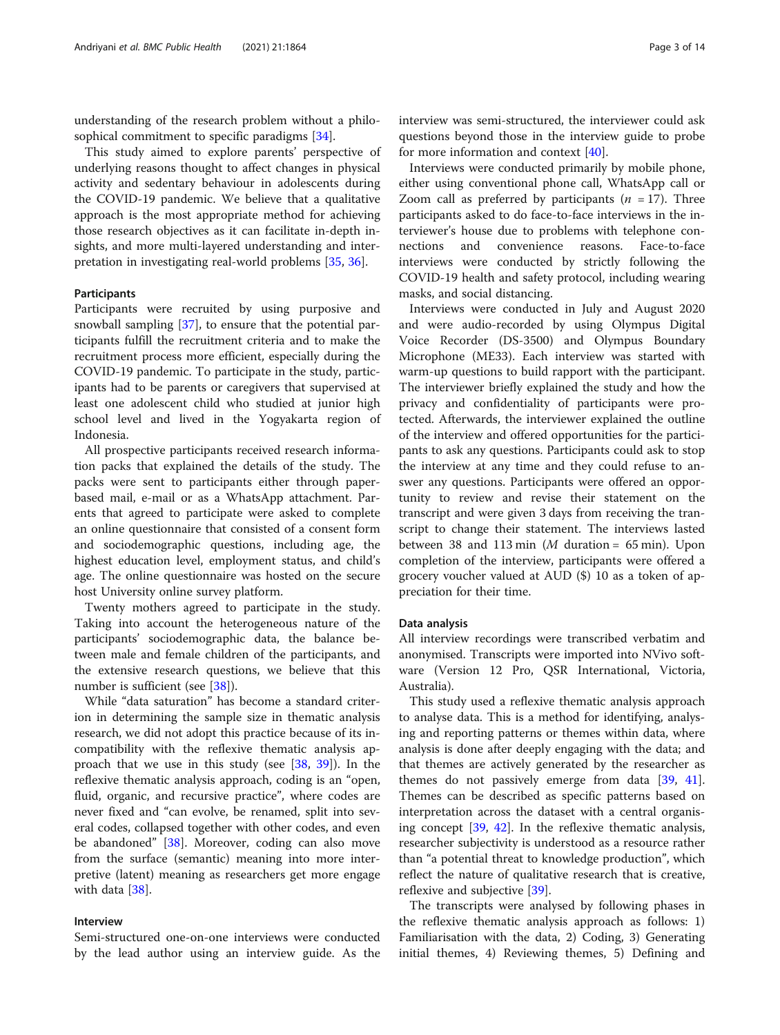understanding of the research problem without a philosophical commitment to specific paradigms [\[34](#page-12-0)].

This study aimed to explore parents' perspective of underlying reasons thought to affect changes in physical activity and sedentary behaviour in adolescents during the COVID-19 pandemic. We believe that a qualitative approach is the most appropriate method for achieving those research objectives as it can facilitate in-depth insights, and more multi-layered understanding and interpretation in investigating real-world problems [\[35,](#page-12-0) [36\]](#page-12-0).

## Participants

Participants were recruited by using purposive and snowball sampling [[37\]](#page-12-0), to ensure that the potential participants fulfill the recruitment criteria and to make the recruitment process more efficient, especially during the COVID-19 pandemic. To participate in the study, participants had to be parents or caregivers that supervised at least one adolescent child who studied at junior high school level and lived in the Yogyakarta region of Indonesia.

All prospective participants received research information packs that explained the details of the study. The packs were sent to participants either through paperbased mail, e-mail or as a WhatsApp attachment. Parents that agreed to participate were asked to complete an online questionnaire that consisted of a consent form and sociodemographic questions, including age, the highest education level, employment status, and child's age. The online questionnaire was hosted on the secure host University online survey platform.

Twenty mothers agreed to participate in the study. Taking into account the heterogeneous nature of the participants' sociodemographic data, the balance between male and female children of the participants, and the extensive research questions, we believe that this number is sufficient (see [\[38\]](#page-12-0)).

While "data saturation" has become a standard criterion in determining the sample size in thematic analysis research, we did not adopt this practice because of its incompatibility with the reflexive thematic analysis approach that we use in this study (see  $[38, 39]$  $[38, 39]$  $[38, 39]$  $[38, 39]$ ). In the reflexive thematic analysis approach, coding is an "open, fluid, organic, and recursive practice", where codes are never fixed and "can evolve, be renamed, split into several codes, collapsed together with other codes, and even be abandoned" [[38\]](#page-12-0). Moreover, coding can also move from the surface (semantic) meaning into more interpretive (latent) meaning as researchers get more engage with data [[38\]](#page-12-0).

## Interview

Semi-structured one-on-one interviews were conducted by the lead author using an interview guide. As the

interview was semi-structured, the interviewer could ask questions beyond those in the interview guide to probe for more information and context [[40](#page-12-0)].

Interviews were conducted primarily by mobile phone, either using conventional phone call, WhatsApp call or Zoom call as preferred by participants ( $n = 17$ ). Three participants asked to do face-to-face interviews in the interviewer's house due to problems with telephone connections and convenience reasons. Face-to-face interviews were conducted by strictly following the COVID-19 health and safety protocol, including wearing masks, and social distancing.

Interviews were conducted in July and August 2020 and were audio-recorded by using Olympus Digital Voice Recorder (DS-3500) and Olympus Boundary Microphone (ME33). Each interview was started with warm-up questions to build rapport with the participant. The interviewer briefly explained the study and how the privacy and confidentiality of participants were protected. Afterwards, the interviewer explained the outline of the interview and offered opportunities for the participants to ask any questions. Participants could ask to stop the interview at any time and they could refuse to answer any questions. Participants were offered an opportunity to review and revise their statement on the transcript and were given 3 days from receiving the transcript to change their statement. The interviews lasted between 38 and 113 min (*M* duration =  $65$  min). Upon completion of the interview, participants were offered a grocery voucher valued at AUD (\$) 10 as a token of appreciation for their time.

#### Data analysis

All interview recordings were transcribed verbatim and anonymised. Transcripts were imported into NVivo software (Version 12 Pro, QSR International, Victoria, Australia).

This study used a reflexive thematic analysis approach to analyse data. This is a method for identifying, analysing and reporting patterns or themes within data, where analysis is done after deeply engaging with the data; and that themes are actively generated by the researcher as themes do not passively emerge from data  $[39, 41]$  $[39, 41]$  $[39, 41]$  $[39, 41]$ . Themes can be described as specific patterns based on interpretation across the dataset with a central organising concept [\[39,](#page-12-0) [42](#page-12-0)]. In the reflexive thematic analysis, researcher subjectivity is understood as a resource rather than "a potential threat to knowledge production", which reflect the nature of qualitative research that is creative, reflexive and subjective [[39\]](#page-12-0).

The transcripts were analysed by following phases in the reflexive thematic analysis approach as follows: 1) Familiarisation with the data, 2) Coding, 3) Generating initial themes, 4) Reviewing themes, 5) Defining and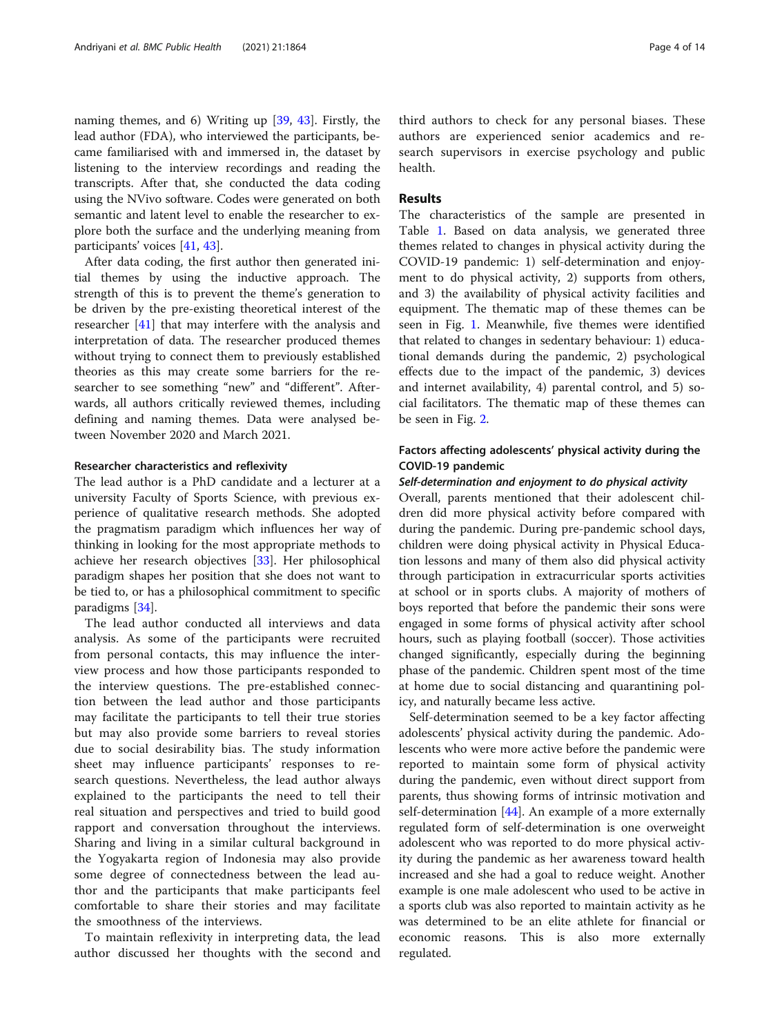naming themes, and 6) Writing up [\[39](#page-12-0), [43](#page-12-0)]. Firstly, the lead author (FDA), who interviewed the participants, became familiarised with and immersed in, the dataset by listening to the interview recordings and reading the transcripts. After that, she conducted the data coding using the NVivo software. Codes were generated on both semantic and latent level to enable the researcher to explore both the surface and the underlying meaning from participants' voices [\[41](#page-12-0), [43](#page-12-0)].

After data coding, the first author then generated initial themes by using the inductive approach. The strength of this is to prevent the theme's generation to be driven by the pre-existing theoretical interest of the researcher [[41\]](#page-12-0) that may interfere with the analysis and interpretation of data. The researcher produced themes without trying to connect them to previously established theories as this may create some barriers for the researcher to see something "new" and "different". Afterwards, all authors critically reviewed themes, including defining and naming themes. Data were analysed between November 2020 and March 2021.

## Researcher characteristics and reflexivity

The lead author is a PhD candidate and a lecturer at a university Faculty of Sports Science, with previous experience of qualitative research methods. She adopted the pragmatism paradigm which influences her way of thinking in looking for the most appropriate methods to achieve her research objectives [\[33\]](#page-12-0). Her philosophical paradigm shapes her position that she does not want to be tied to, or has a philosophical commitment to specific paradigms [[34\]](#page-12-0).

The lead author conducted all interviews and data analysis. As some of the participants were recruited from personal contacts, this may influence the interview process and how those participants responded to the interview questions. The pre-established connection between the lead author and those participants may facilitate the participants to tell their true stories but may also provide some barriers to reveal stories due to social desirability bias. The study information sheet may influence participants' responses to research questions. Nevertheless, the lead author always explained to the participants the need to tell their real situation and perspectives and tried to build good rapport and conversation throughout the interviews. Sharing and living in a similar cultural background in the Yogyakarta region of Indonesia may also provide some degree of connectedness between the lead author and the participants that make participants feel comfortable to share their stories and may facilitate the smoothness of the interviews.

To maintain reflexivity in interpreting data, the lead author discussed her thoughts with the second and

third authors to check for any personal biases. These authors are experienced senior academics and research supervisors in exercise psychology and public health.

## Results

The characteristics of the sample are presented in Table [1.](#page-4-0) Based on data analysis, we generated three themes related to changes in physical activity during the COVID-19 pandemic: 1) self-determination and enjoyment to do physical activity, 2) supports from others, and 3) the availability of physical activity facilities and equipment. The thematic map of these themes can be seen in Fig. [1](#page-5-0). Meanwhile, five themes were identified that related to changes in sedentary behaviour: 1) educational demands during the pandemic, 2) psychological effects due to the impact of the pandemic, 3) devices and internet availability, 4) parental control, and 5) social facilitators. The thematic map of these themes can be seen in Fig. [2](#page-6-0).

## Factors affecting adolescents' physical activity during the COVID-19 pandemic

## Self-determination and enjoyment to do physical activity

Overall, parents mentioned that their adolescent children did more physical activity before compared with during the pandemic. During pre-pandemic school days, children were doing physical activity in Physical Education lessons and many of them also did physical activity through participation in extracurricular sports activities at school or in sports clubs. A majority of mothers of boys reported that before the pandemic their sons were engaged in some forms of physical activity after school hours, such as playing football (soccer). Those activities changed significantly, especially during the beginning phase of the pandemic. Children spent most of the time at home due to social distancing and quarantining policy, and naturally became less active.

Self-determination seemed to be a key factor affecting adolescents' physical activity during the pandemic. Adolescents who were more active before the pandemic were reported to maintain some form of physical activity during the pandemic, even without direct support from parents, thus showing forms of intrinsic motivation and self-determination  $[44]$  $[44]$ . An example of a more externally regulated form of self-determination is one overweight adolescent who was reported to do more physical activity during the pandemic as her awareness toward health increased and she had a goal to reduce weight. Another example is one male adolescent who used to be active in a sports club was also reported to maintain activity as he was determined to be an elite athlete for financial or economic reasons. This is also more externally regulated.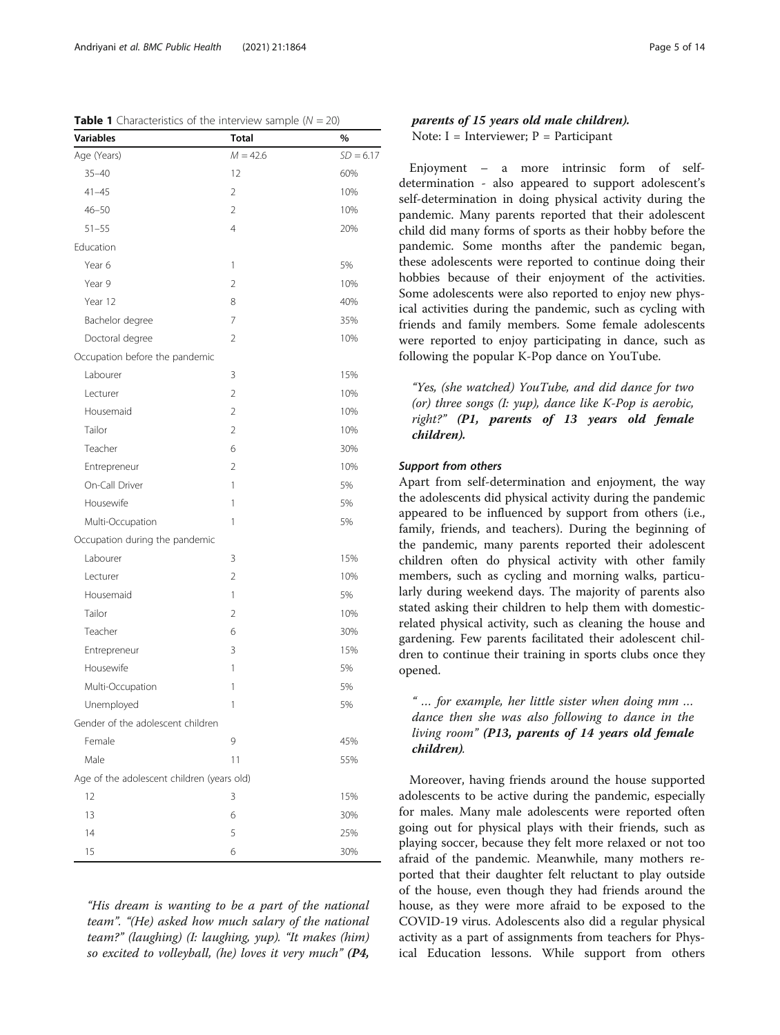| Variables                                  | <b>Total</b>   | %           |
|--------------------------------------------|----------------|-------------|
| Age (Years)                                | $M = 42.6$     | $SD = 6.17$ |
| $35 - 40$                                  | 12             | 60%         |
| 41–45                                      | 2              | 10%         |
| $46 - 50$                                  | 2              | 10%         |
| $51 - 55$                                  | $\overline{4}$ | 20%         |
| Education                                  |                |             |
| Year 6                                     | 1              | 5%          |
| Year 9                                     | $\overline{2}$ | 10%         |
| Year 12                                    | 8              | 40%         |
| Bachelor degree                            | 7              | 35%         |
| Doctoral degree                            | $\overline{2}$ | 10%         |
| Occupation before the pandemic             |                |             |
| Labourer                                   | 3              | 15%         |
| Lecturer                                   | $\overline{2}$ | 10%         |
| Housemaid                                  | 2              | 10%         |
| Tailor                                     | 2              | 10%         |
| Teacher                                    | 6              | 30%         |
| Entrepreneur                               | 2              | 10%         |
| On-Call Driver                             | 1              | 5%          |
| Housewife                                  | 1              | 5%          |
| Multi-Occupation                           | 1              | 5%          |
| Occupation during the pandemic             |                |             |
| Labourer                                   | 3              | 15%         |
| Lecturer                                   | $\overline{2}$ | 10%         |
| Housemaid                                  | 1              | 5%          |
| Tailor                                     | $\overline{2}$ | 10%         |
| Teacher                                    | 6              | 30%         |
| Entrepreneur                               | 3              | 15%         |
| Housewife                                  | 1              | 5%          |
| Multi-Occupation                           | 1              | 5%          |
| Unemployed                                 | 1              | 5%          |
| Gender of the adolescent children          |                |             |
| Female                                     | 9              | 45%         |
| Male                                       | 11             | 55%         |
| Age of the adolescent children (years old) |                |             |
| 12                                         | 3              | 15%         |
| 13                                         | 6              | 30%         |
| 14                                         | 5              | 25%         |
| 15                                         | 6              | 30%         |

<span id="page-4-0"></span>Table 1 Characteristics of the interview sample (N = 20)

"His dream is wanting to be a part of the national team". "(He) asked how much salary of the national team?" (laughing) (I: laughing, yup). "It makes (him) so excited to volleyball, (he) loves it very much" (P4,

Enjoyment – a more intrinsic form of selfdetermination - also appeared to support adolescent's self-determination in doing physical activity during the pandemic. Many parents reported that their adolescent child did many forms of sports as their hobby before the pandemic. Some months after the pandemic began, these adolescents were reported to continue doing their hobbies because of their enjoyment of the activities. Some adolescents were also reported to enjoy new physical activities during the pandemic, such as cycling with friends and family members. Some female adolescents were reported to enjoy participating in dance, such as following the popular K-Pop dance on YouTube.

"Yes, (she watched) YouTube, and did dance for two (or) three songs  $(I: vup)$ , dance like K-Pop is aerobic, right?" (P1, parents of 13 years old female children).

## Support from others

Apart from self-determination and enjoyment, the way the adolescents did physical activity during the pandemic appeared to be influenced by support from others (i.e., family, friends, and teachers). During the beginning of the pandemic, many parents reported their adolescent children often do physical activity with other family members, such as cycling and morning walks, particularly during weekend days. The majority of parents also stated asking their children to help them with domesticrelated physical activity, such as cleaning the house and gardening. Few parents facilitated their adolescent children to continue their training in sports clubs once they opened.

## " … for example, her little sister when doing mm … dance then she was also following to dance in the living room" (P13, parents of 14 years old female children).

Moreover, having friends around the house supported adolescents to be active during the pandemic, especially for males. Many male adolescents were reported often going out for physical plays with their friends, such as playing soccer, because they felt more relaxed or not too afraid of the pandemic. Meanwhile, many mothers reported that their daughter felt reluctant to play outside of the house, even though they had friends around the house, as they were more afraid to be exposed to the COVID-19 virus. Adolescents also did a regular physical activity as a part of assignments from teachers for Physical Education lessons. While support from others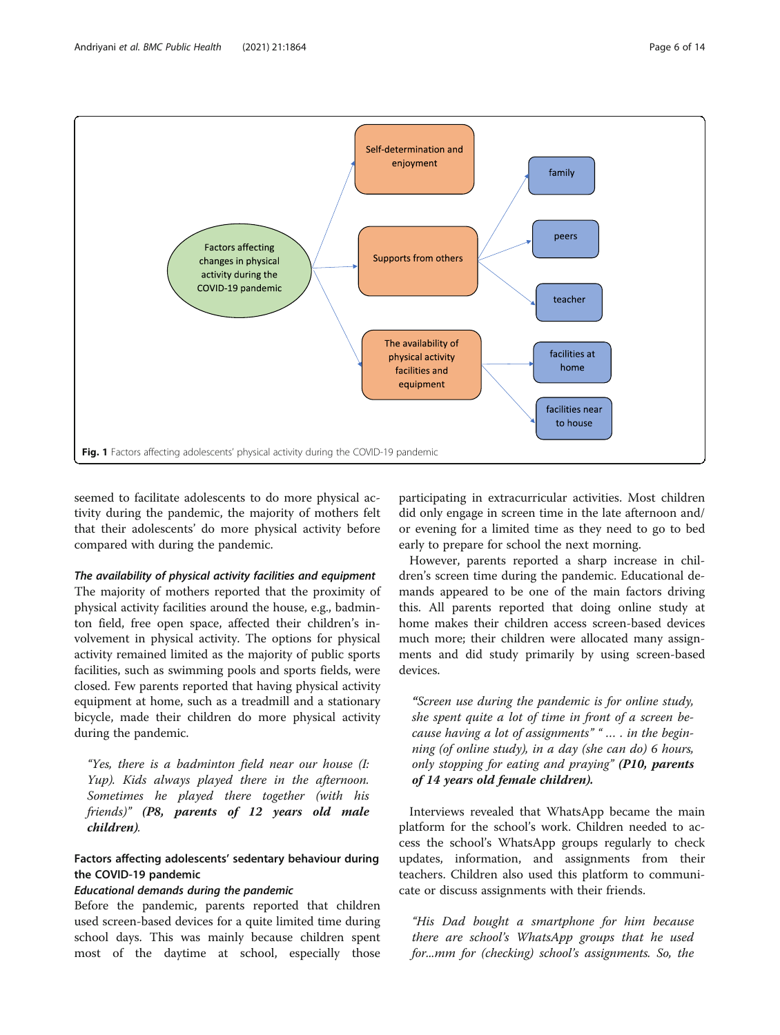<span id="page-5-0"></span>

seemed to facilitate adolescents to do more physical activity during the pandemic, the majority of mothers felt that their adolescents' do more physical activity before compared with during the pandemic.

#### The availability of physical activity facilities and equipment

The majority of mothers reported that the proximity of physical activity facilities around the house, e.g., badminton field, free open space, affected their children's involvement in physical activity. The options for physical activity remained limited as the majority of public sports facilities, such as swimming pools and sports fields, were closed. Few parents reported that having physical activity equipment at home, such as a treadmill and a stationary bicycle, made their children do more physical activity during the pandemic.

"Yes, there is a badminton field near our house (I: Yup). Kids always played there in the afternoon. Sometimes he played there together (with his friends)" (P8, parents of 12 years old male children).

## Factors affecting adolescents' sedentary behaviour during the COVID-19 pandemic

## Educational demands during the pandemic

Before the pandemic, parents reported that children used screen-based devices for a quite limited time during school days. This was mainly because children spent most of the daytime at school, especially those participating in extracurricular activities. Most children did only engage in screen time in the late afternoon and/ or evening for a limited time as they need to go to bed early to prepare for school the next morning.

However, parents reported a sharp increase in children's screen time during the pandemic. Educational demands appeared to be one of the main factors driving this. All parents reported that doing online study at home makes their children access screen-based devices much more; their children were allocated many assignments and did study primarily by using screen-based devices.

"Screen use during the pandemic is for online study, she spent quite a lot of time in front of a screen because having a lot of assignments""… . in the beginning (of online study), in a day (she can do) 6 hours, only stopping for eating and praying" (P10, parents of 14 years old female children).

Interviews revealed that WhatsApp became the main platform for the school's work. Children needed to access the school's WhatsApp groups regularly to check updates, information, and assignments from their teachers. Children also used this platform to communicate or discuss assignments with their friends.

"His Dad bought a smartphone for him because there are school's WhatsApp groups that he used for...mm for (checking) school's assignments. So, the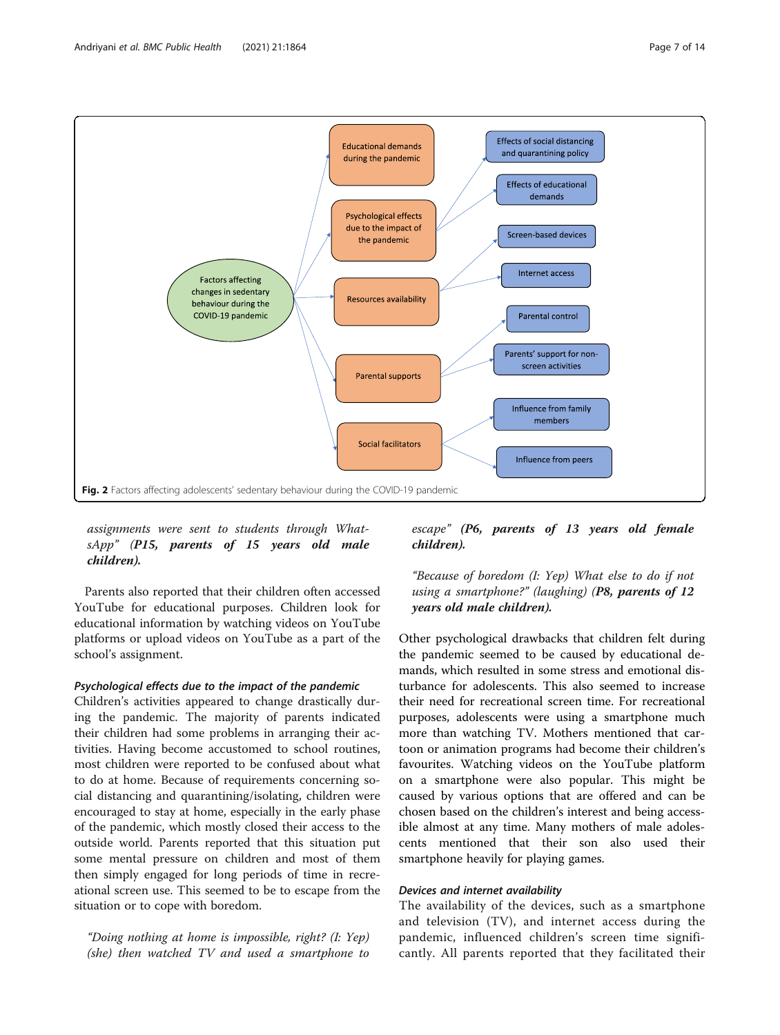<span id="page-6-0"></span>

## assignments were sent to students through WhatsApp" (P15, parents of 15 years old male children).

Parents also reported that their children often accessed YouTube for educational purposes. Children look for educational information by watching videos on YouTube platforms or upload videos on YouTube as a part of the school's assignment.

## Psychological effects due to the impact of the pandemic

Children's activities appeared to change drastically during the pandemic. The majority of parents indicated their children had some problems in arranging their activities. Having become accustomed to school routines, most children were reported to be confused about what to do at home. Because of requirements concerning social distancing and quarantining/isolating, children were encouraged to stay at home, especially in the early phase of the pandemic, which mostly closed their access to the outside world. Parents reported that this situation put some mental pressure on children and most of them then simply engaged for long periods of time in recreational screen use. This seemed to be to escape from the situation or to cope with boredom.

"Doing nothing at home is impossible, right? (I: Yep) (she) then watched TV and used a smartphone to

escape" (P6, parents of 13 years old female children).

## "Because of boredom (I: Yep) What else to do if not using a smartphone?" (laughing)  $(P8,$  parents of 12 years old male children).

Other psychological drawbacks that children felt during the pandemic seemed to be caused by educational demands, which resulted in some stress and emotional disturbance for adolescents. This also seemed to increase their need for recreational screen time. For recreational purposes, adolescents were using a smartphone much more than watching TV. Mothers mentioned that cartoon or animation programs had become their children's favourites. Watching videos on the YouTube platform on a smartphone were also popular. This might be caused by various options that are offered and can be chosen based on the children's interest and being accessible almost at any time. Many mothers of male adolescents mentioned that their son also used their smartphone heavily for playing games.

## Devices and internet availability

The availability of the devices, such as a smartphone and television (TV), and internet access during the pandemic, influenced children's screen time significantly. All parents reported that they facilitated their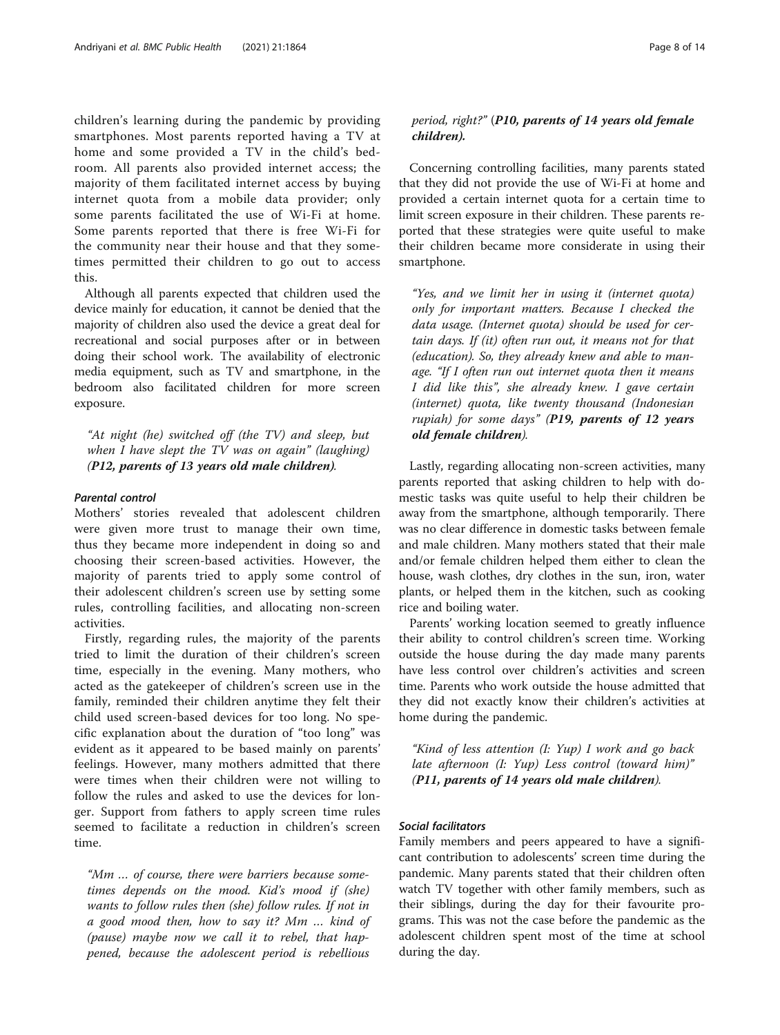children's learning during the pandemic by providing smartphones. Most parents reported having a TV at home and some provided a TV in the child's bedroom. All parents also provided internet access; the majority of them facilitated internet access by buying internet quota from a mobile data provider; only some parents facilitated the use of Wi-Fi at home. Some parents reported that there is free Wi-Fi for the community near their house and that they sometimes permitted their children to go out to access this.

Although all parents expected that children used the device mainly for education, it cannot be denied that the majority of children also used the device a great deal for recreational and social purposes after or in between doing their school work. The availability of electronic media equipment, such as TV and smartphone, in the bedroom also facilitated children for more screen exposure.

"At night (he) switched off (the TV) and sleep, but when I have slept the TV was on again" (laughing) (P12, parents of 13 years old male children).

#### Parental control

Mothers' stories revealed that adolescent children were given more trust to manage their own time, thus they became more independent in doing so and choosing their screen-based activities. However, the majority of parents tried to apply some control of their adolescent children's screen use by setting some rules, controlling facilities, and allocating non-screen activities.

Firstly, regarding rules, the majority of the parents tried to limit the duration of their children's screen time, especially in the evening. Many mothers, who acted as the gatekeeper of children's screen use in the family, reminded their children anytime they felt their child used screen-based devices for too long. No specific explanation about the duration of "too long" was evident as it appeared to be based mainly on parents' feelings. However, many mothers admitted that there were times when their children were not willing to follow the rules and asked to use the devices for longer. Support from fathers to apply screen time rules seemed to facilitate a reduction in children's screen time.

"Mm … of course, there were barriers because sometimes depends on the mood. Kid's mood if (she) wants to follow rules then (she) follow rules. If not in a good mood then, how to say it? Mm … kind of (pause) maybe now we call it to rebel, that happened, because the adolescent period is rebellious

## period, right?" (P10, parents of 14 years old female children).

Concerning controlling facilities, many parents stated that they did not provide the use of Wi-Fi at home and provided a certain internet quota for a certain time to limit screen exposure in their children. These parents reported that these strategies were quite useful to make their children became more considerate in using their smartphone.

"Yes, and we limit her in using it (internet quota) only for important matters. Because I checked the data usage. (Internet quota) should be used for certain days. If (it) often run out, it means not for that (education). So, they already knew and able to manage. "If I often run out internet quota then it means I did like this", she already knew. I gave certain (internet) quota, like twenty thousand (Indonesian rupiah) for some days" (P19, parents of 12 years old female children).

Lastly, regarding allocating non-screen activities, many parents reported that asking children to help with domestic tasks was quite useful to help their children be away from the smartphone, although temporarily. There was no clear difference in domestic tasks between female and male children. Many mothers stated that their male and/or female children helped them either to clean the house, wash clothes, dry clothes in the sun, iron, water plants, or helped them in the kitchen, such as cooking rice and boiling water.

Parents' working location seemed to greatly influence their ability to control children's screen time. Working outside the house during the day made many parents have less control over children's activities and screen time. Parents who work outside the house admitted that they did not exactly know their children's activities at home during the pandemic.

"Kind of less attention (I: Yup) I work and go back late afternoon (I: Yup) Less control (toward him)" (P11, parents of 14 years old male children).

## Social facilitators

Family members and peers appeared to have a significant contribution to adolescents' screen time during the pandemic. Many parents stated that their children often watch TV together with other family members, such as their siblings, during the day for their favourite programs. This was not the case before the pandemic as the adolescent children spent most of the time at school during the day.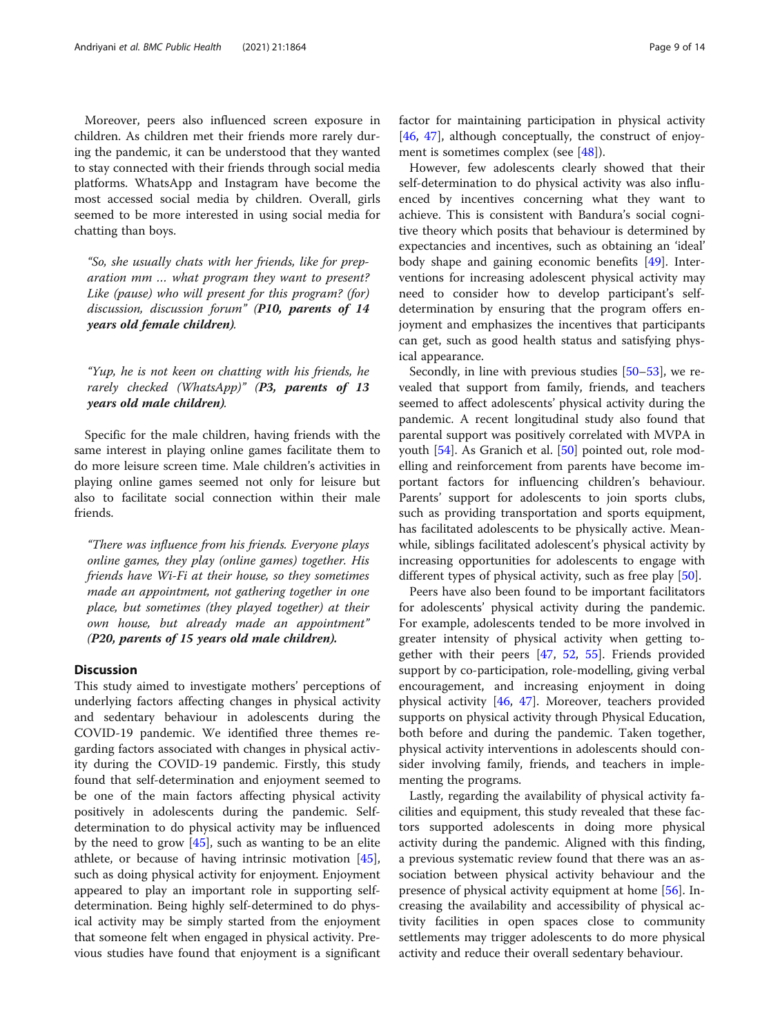Moreover, peers also influenced screen exposure in children. As children met their friends more rarely during the pandemic, it can be understood that they wanted to stay connected with their friends through social media platforms. WhatsApp and Instagram have become the most accessed social media by children. Overall, girls seemed to be more interested in using social media for chatting than boys.

"So, she usually chats with her friends, like for preparation mm … what program they want to present? Like (pause) who will present for this program? (for) discussion, discussion forum" (P10, parents of 14 years old female children).

"Yup, he is not keen on chatting with his friends, he rarely checked (WhatsApp)" (P3, parents of 13 years old male children).

Specific for the male children, having friends with the same interest in playing online games facilitate them to do more leisure screen time. Male children's activities in playing online games seemed not only for leisure but also to facilitate social connection within their male friends.

"There was influence from his friends. Everyone plays online games, they play (online games) together. His friends have Wi-Fi at their house, so they sometimes made an appointment, not gathering together in one place, but sometimes (they played together) at their own house, but already made an appointment" (P20, parents of 15 years old male children).

## **Discussion**

This study aimed to investigate mothers' perceptions of underlying factors affecting changes in physical activity and sedentary behaviour in adolescents during the COVID-19 pandemic. We identified three themes regarding factors associated with changes in physical activity during the COVID-19 pandemic. Firstly, this study found that self-determination and enjoyment seemed to be one of the main factors affecting physical activity positively in adolescents during the pandemic. Selfdetermination to do physical activity may be influenced by the need to grow [\[45](#page-12-0)], such as wanting to be an elite athlete, or because of having intrinsic motivation [\[45](#page-12-0)], such as doing physical activity for enjoyment. Enjoyment appeared to play an important role in supporting selfdetermination. Being highly self-determined to do physical activity may be simply started from the enjoyment that someone felt when engaged in physical activity. Previous studies have found that enjoyment is a significant

factor for maintaining participation in physical activity [[46,](#page-12-0) [47\]](#page-12-0), although conceptually, the construct of enjoyment is sometimes complex (see [\[48\]](#page-12-0)).

However, few adolescents clearly showed that their self-determination to do physical activity was also influenced by incentives concerning what they want to achieve. This is consistent with Bandura's social cognitive theory which posits that behaviour is determined by expectancies and incentives, such as obtaining an 'ideal' body shape and gaining economic benefits [\[49](#page-12-0)]. Interventions for increasing adolescent physical activity may need to consider how to develop participant's selfdetermination by ensuring that the program offers enjoyment and emphasizes the incentives that participants can get, such as good health status and satisfying physical appearance.

Secondly, in line with previous studies [\[50](#page-12-0)–[53\]](#page-12-0), we revealed that support from family, friends, and teachers seemed to affect adolescents' physical activity during the pandemic. A recent longitudinal study also found that parental support was positively correlated with MVPA in youth [\[54](#page-12-0)]. As Granich et al. [[50](#page-12-0)] pointed out, role modelling and reinforcement from parents have become important factors for influencing children's behaviour. Parents' support for adolescents to join sports clubs, such as providing transportation and sports equipment, has facilitated adolescents to be physically active. Meanwhile, siblings facilitated adolescent's physical activity by increasing opportunities for adolescents to engage with different types of physical activity, such as free play [[50](#page-12-0)].

Peers have also been found to be important facilitators for adolescents' physical activity during the pandemic. For example, adolescents tended to be more involved in greater intensity of physical activity when getting together with their peers [[47,](#page-12-0) [52,](#page-12-0) [55\]](#page-12-0). Friends provided support by co-participation, role-modelling, giving verbal encouragement, and increasing enjoyment in doing physical activity [[46,](#page-12-0) [47\]](#page-12-0). Moreover, teachers provided supports on physical activity through Physical Education, both before and during the pandemic. Taken together, physical activity interventions in adolescents should consider involving family, friends, and teachers in implementing the programs.

Lastly, regarding the availability of physical activity facilities and equipment, this study revealed that these factors supported adolescents in doing more physical activity during the pandemic. Aligned with this finding, a previous systematic review found that there was an association between physical activity behaviour and the presence of physical activity equipment at home [\[56](#page-12-0)]. Increasing the availability and accessibility of physical activity facilities in open spaces close to community settlements may trigger adolescents to do more physical activity and reduce their overall sedentary behaviour.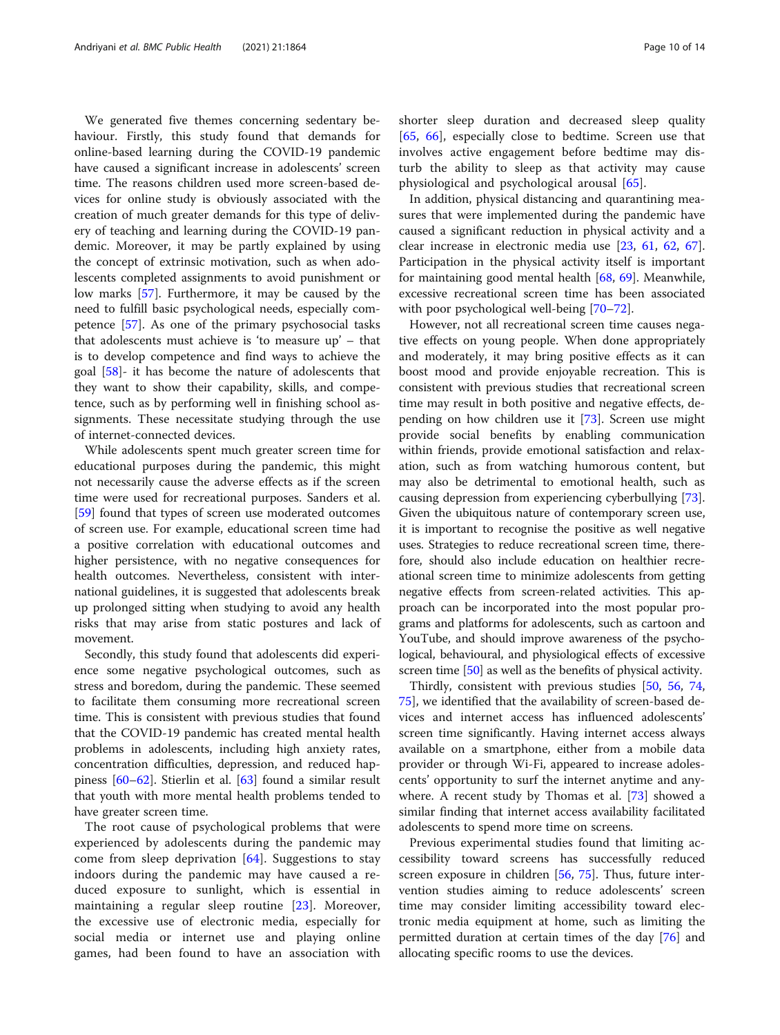We generated five themes concerning sedentary behaviour. Firstly, this study found that demands for online-based learning during the COVID-19 pandemic have caused a significant increase in adolescents' screen time. The reasons children used more screen-based devices for online study is obviously associated with the creation of much greater demands for this type of delivery of teaching and learning during the COVID-19 pandemic. Moreover, it may be partly explained by using the concept of extrinsic motivation, such as when adolescents completed assignments to avoid punishment or low marks [\[57\]](#page-12-0). Furthermore, it may be caused by the need to fulfill basic psychological needs, especially competence [[57](#page-12-0)]. As one of the primary psychosocial tasks that adolescents must achieve is 'to measure up' – that is to develop competence and find ways to achieve the goal [[58\]](#page-12-0)- it has become the nature of adolescents that they want to show their capability, skills, and competence, such as by performing well in finishing school assignments. These necessitate studying through the use of internet-connected devices.

While adolescents spent much greater screen time for educational purposes during the pandemic, this might not necessarily cause the adverse effects as if the screen time were used for recreational purposes. Sanders et al. [[59\]](#page-12-0) found that types of screen use moderated outcomes of screen use. For example, educational screen time had a positive correlation with educational outcomes and higher persistence, with no negative consequences for health outcomes. Nevertheless, consistent with international guidelines, it is suggested that adolescents break up prolonged sitting when studying to avoid any health risks that may arise from static postures and lack of movement.

Secondly, this study found that adolescents did experience some negative psychological outcomes, such as stress and boredom, during the pandemic. These seemed to facilitate them consuming more recreational screen time. This is consistent with previous studies that found that the COVID-19 pandemic has created mental health problems in adolescents, including high anxiety rates, concentration difficulties, depression, and reduced happiness [[60](#page-12-0)–[62](#page-12-0)]. Stierlin et al. [[63\]](#page-12-0) found a similar result that youth with more mental health problems tended to have greater screen time.

The root cause of psychological problems that were experienced by adolescents during the pandemic may come from sleep deprivation  $[64]$  $[64]$ . Suggestions to stay indoors during the pandemic may have caused a reduced exposure to sunlight, which is essential in maintaining a regular sleep routine [[23\]](#page-11-0). Moreover, the excessive use of electronic media, especially for social media or internet use and playing online games, had been found to have an association with shorter sleep duration and decreased sleep quality [[65,](#page-13-0) [66](#page-13-0)], especially close to bedtime. Screen use that involves active engagement before bedtime may disturb the ability to sleep as that activity may cause physiological and psychological arousal [\[65](#page-13-0)].

In addition, physical distancing and quarantining measures that were implemented during the pandemic have caused a significant reduction in physical activity and a clear increase in electronic media use [[23,](#page-11-0) [61](#page-12-0), [62,](#page-12-0) [67](#page-13-0)]. Participation in the physical activity itself is important for maintaining good mental health [[68,](#page-13-0) [69\]](#page-13-0). Meanwhile, excessive recreational screen time has been associated with poor psychological well-being [\[70](#page-13-0)–[72\]](#page-13-0).

However, not all recreational screen time causes negative effects on young people. When done appropriately and moderately, it may bring positive effects as it can boost mood and provide enjoyable recreation. This is consistent with previous studies that recreational screen time may result in both positive and negative effects, depending on how children use it [\[73](#page-13-0)]. Screen use might provide social benefits by enabling communication within friends, provide emotional satisfaction and relaxation, such as from watching humorous content, but may also be detrimental to emotional health, such as causing depression from experiencing cyberbullying [\[73](#page-13-0)]. Given the ubiquitous nature of contemporary screen use, it is important to recognise the positive as well negative uses. Strategies to reduce recreational screen time, therefore, should also include education on healthier recreational screen time to minimize adolescents from getting negative effects from screen-related activities. This approach can be incorporated into the most popular programs and platforms for adolescents, such as cartoon and YouTube, and should improve awareness of the psychological, behavioural, and physiological effects of excessive screen time [[50](#page-12-0)] as well as the benefits of physical activity.

Thirdly, consistent with previous studies [\[50](#page-12-0), [56,](#page-12-0) [74](#page-13-0), [75\]](#page-13-0), we identified that the availability of screen-based devices and internet access has influenced adolescents' screen time significantly. Having internet access always available on a smartphone, either from a mobile data provider or through Wi-Fi, appeared to increase adolescents' opportunity to surf the internet anytime and anywhere. A recent study by Thomas et al. [\[73\]](#page-13-0) showed a similar finding that internet access availability facilitated adolescents to spend more time on screens.

Previous experimental studies found that limiting accessibility toward screens has successfully reduced screen exposure in children [[56](#page-12-0), [75\]](#page-13-0). Thus, future intervention studies aiming to reduce adolescents' screen time may consider limiting accessibility toward electronic media equipment at home, such as limiting the permitted duration at certain times of the day [[76](#page-13-0)] and allocating specific rooms to use the devices.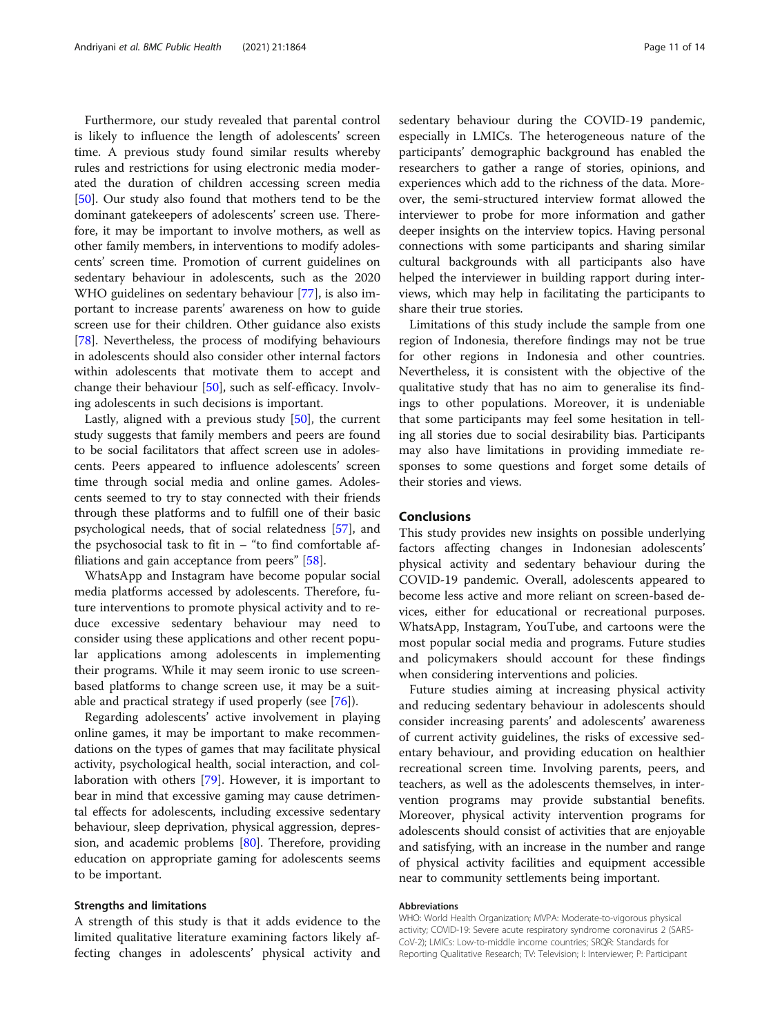Furthermore, our study revealed that parental control is likely to influence the length of adolescents' screen time. A previous study found similar results whereby rules and restrictions for using electronic media moderated the duration of children accessing screen media [[50\]](#page-12-0). Our study also found that mothers tend to be the dominant gatekeepers of adolescents' screen use. Therefore, it may be important to involve mothers, as well as other family members, in interventions to modify adolescents' screen time. Promotion of current guidelines on sedentary behaviour in adolescents, such as the 2020 WHO guidelines on sedentary behaviour [\[77](#page-13-0)], is also important to increase parents' awareness on how to guide screen use for their children. Other guidance also exists [[78\]](#page-13-0). Nevertheless, the process of modifying behaviours in adolescents should also consider other internal factors within adolescents that motivate them to accept and change their behaviour [\[50](#page-12-0)], such as self-efficacy. Involving adolescents in such decisions is important.

Lastly, aligned with a previous study [[50\]](#page-12-0), the current study suggests that family members and peers are found to be social facilitators that affect screen use in adolescents. Peers appeared to influence adolescents' screen time through social media and online games. Adolescents seemed to try to stay connected with their friends through these platforms and to fulfill one of their basic psychological needs, that of social relatedness [\[57](#page-12-0)], and the psychosocial task to fit in  $-$  "to find comfortable affiliations and gain acceptance from peers" [\[58\]](#page-12-0).

WhatsApp and Instagram have become popular social media platforms accessed by adolescents. Therefore, future interventions to promote physical activity and to reduce excessive sedentary behaviour may need to consider using these applications and other recent popular applications among adolescents in implementing their programs. While it may seem ironic to use screenbased platforms to change screen use, it may be a suitable and practical strategy if used properly (see [\[76](#page-13-0)]).

Regarding adolescents' active involvement in playing online games, it may be important to make recommendations on the types of games that may facilitate physical activity, psychological health, social interaction, and collaboration with others [\[79](#page-13-0)]. However, it is important to bear in mind that excessive gaming may cause detrimental effects for adolescents, including excessive sedentary behaviour, sleep deprivation, physical aggression, depression, and academic problems [[80\]](#page-13-0). Therefore, providing education on appropriate gaming for adolescents seems to be important.

#### Strengths and limitations

A strength of this study is that it adds evidence to the limited qualitative literature examining factors likely affecting changes in adolescents' physical activity and sedentary behaviour during the COVID-19 pandemic, especially in LMICs. The heterogeneous nature of the participants' demographic background has enabled the researchers to gather a range of stories, opinions, and experiences which add to the richness of the data. Moreover, the semi-structured interview format allowed the interviewer to probe for more information and gather deeper insights on the interview topics. Having personal connections with some participants and sharing similar cultural backgrounds with all participants also have helped the interviewer in building rapport during interviews, which may help in facilitating the participants to share their true stories.

Limitations of this study include the sample from one region of Indonesia, therefore findings may not be true for other regions in Indonesia and other countries. Nevertheless, it is consistent with the objective of the qualitative study that has no aim to generalise its findings to other populations. Moreover, it is undeniable that some participants may feel some hesitation in telling all stories due to social desirability bias. Participants may also have limitations in providing immediate responses to some questions and forget some details of their stories and views.

## Conclusions

This study provides new insights on possible underlying factors affecting changes in Indonesian adolescents' physical activity and sedentary behaviour during the COVID-19 pandemic. Overall, adolescents appeared to become less active and more reliant on screen-based devices, either for educational or recreational purposes. WhatsApp, Instagram, YouTube, and cartoons were the most popular social media and programs. Future studies and policymakers should account for these findings when considering interventions and policies.

Future studies aiming at increasing physical activity and reducing sedentary behaviour in adolescents should consider increasing parents' and adolescents' awareness of current activity guidelines, the risks of excessive sedentary behaviour, and providing education on healthier recreational screen time. Involving parents, peers, and teachers, as well as the adolescents themselves, in intervention programs may provide substantial benefits. Moreover, physical activity intervention programs for adolescents should consist of activities that are enjoyable and satisfying, with an increase in the number and range of physical activity facilities and equipment accessible near to community settlements being important.

#### Abbreviations

WHO: World Health Organization; MVPA: Moderate-to-vigorous physical activity; COVID-19: Severe acute respiratory syndrome coronavirus 2 (SARS-CoV-2); LMICs: Low-to-middle income countries; SRQR: Standards for Reporting Qualitative Research; TV: Television; I: Interviewer; P: Participant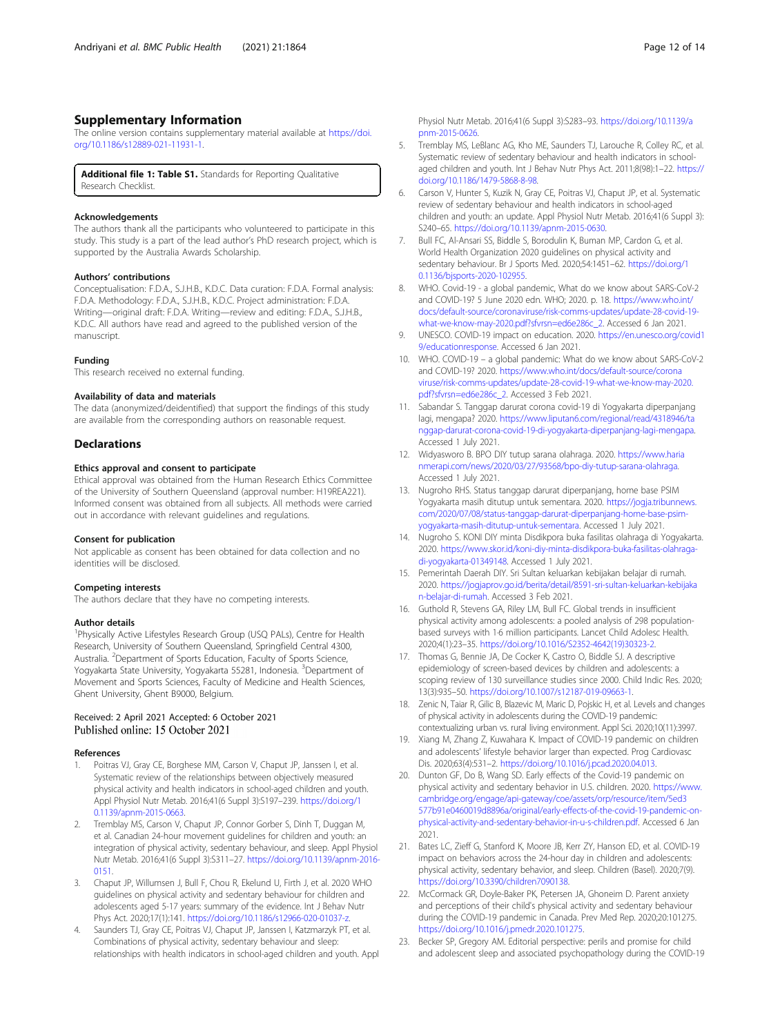## <span id="page-11-0"></span>Supplementary Information

The online version contains supplementary material available at [https://doi.](https://doi.org/10.1186/s12889-021-11931-1) [org/10.1186/s12889-021-11931-1.](https://doi.org/10.1186/s12889-021-11931-1)

Additional file 1: Table S1. Standards for Reporting Qualitative Research Checklist.

#### Acknowledgements

The authors thank all the participants who volunteered to participate in this study. This study is a part of the lead author's PhD research project, which is supported by the Australia Awards Scholarship.

#### Authors' contributions

Conceptualisation: F.D.A., S.J.H.B., K.D.C. Data curation: F.D.A. Formal analysis: F.D.A. Methodology: F.D.A., S.J.H.B., K.D.C. Project administration: F.D.A. Writing—original draft: F.D.A. Writing—review and editing: F.D.A., S.J.H.B., K.D.C. All authors have read and agreed to the published version of the manuscript.

#### Funding

This research received no external funding.

#### Availability of data and materials

The data (anonymized/deidentified) that support the findings of this study are available from the corresponding authors on reasonable request.

#### **Declarations**

## Ethics approval and consent to participate

Ethical approval was obtained from the Human Research Ethics Committee of the University of Southern Queensland (approval number: H19REA221). Informed consent was obtained from all subjects. All methods were carried out in accordance with relevant guidelines and regulations.

#### Consent for publication

Not applicable as consent has been obtained for data collection and no identities will be disclosed.

#### Competing interests

The authors declare that they have no competing interests.

#### Author details

<sup>1</sup>Physically Active Lifestyles Research Group (USQ PALs), Centre for Health Research, University of Southern Queensland, Springfield Central 4300, Australia. <sup>2</sup>Department of Sports Education, Faculty of Sports Science, Yogyakarta State University, Yogyakarta 55281, Indonesia. <sup>3</sup>Department of Movement and Sports Sciences, Faculty of Medicine and Health Sciences, Ghent University, Ghent B9000, Belgium.

## Received: 2 April 2021 Accepted: 6 October 2021 Published online: 15 October 2021

#### References

- Poitras VJ, Gray CE, Borghese MM, Carson V, Chaput JP, Janssen I, et al. Systematic review of the relationships between objectively measured physical activity and health indicators in school-aged children and youth. Appl Physiol Nutr Metab. 2016;41(6 Suppl 3):S197–239. [https://doi.org/1](https://doi.org/10.1139/apnm-2015-0663) [0.1139/apnm-2015-0663](https://doi.org/10.1139/apnm-2015-0663).
- 2. Tremblay MS, Carson V, Chaput JP, Connor Gorber S, Dinh T, Duggan M, et al. Canadian 24-hour movement guidelines for children and youth: an integration of physical activity, sedentary behaviour, and sleep. Appl Physiol Nutr Metab. 2016;41(6 Suppl 3):S311–27. [https://doi.org/10.1139/apnm-2016-](https://doi.org/10.1139/apnm-2016-0151) [0151](https://doi.org/10.1139/apnm-2016-0151).
- 3. Chaput JP, Willumsen J, Bull F, Chou R, Ekelund U, Firth J, et al. 2020 WHO guidelines on physical activity and sedentary behaviour for children and adolescents aged 5-17 years: summary of the evidence. Int J Behav Nutr Phys Act. 2020;17(1):141. <https://doi.org/10.1186/s12966-020-01037-z>.
- Saunders TJ, Gray CE, Poitras VJ, Chaput JP, Janssen I, Katzmarzyk PT, et al. Combinations of physical activity, sedentary behaviour and sleep: relationships with health indicators in school-aged children and youth. Appl

Physiol Nutr Metab. 2016;41(6 Suppl 3):S283–93. [https://doi.org/10.1139/a](https://doi.org/10.1139/apnm-2015-0626) [pnm-2015-0626.](https://doi.org/10.1139/apnm-2015-0626)

- 5. Tremblay MS, LeBlanc AG, Kho ME, Saunders TJ, Larouche R, Colley RC, et al. Systematic review of sedentary behaviour and health indicators in schoolaged children and youth. Int J Behav Nutr Phys Act. 2011;8(98):1–22. [https://](https://doi.org/10.1186/1479-5868-8-98) [doi.org/10.1186/1479-5868-8-98](https://doi.org/10.1186/1479-5868-8-98).
- 6. Carson V, Hunter S, Kuzik N, Gray CE, Poitras VJ, Chaput JP, et al. Systematic review of sedentary behaviour and health indicators in school-aged children and youth: an update. Appl Physiol Nutr Metab. 2016;41(6 Suppl 3): S240–65. <https://doi.org/10.1139/apnm-2015-0630>.
- 7. Bull FC, Al-Ansari SS, Biddle S, Borodulin K, Buman MP, Cardon G, et al. World Health Organization 2020 guidelines on physical activity and sedentary behaviour. Br J Sports Med. 2020;54:1451–62. [https://doi.org/1](https://doi.org/10.1136/bjsports-2020-102955) [0.1136/bjsports-2020-102955](https://doi.org/10.1136/bjsports-2020-102955).
- 8. WHO. Covid-19 a global pandemic, What do we know about SARS-CoV-2 and COVID-19? 5 June 2020 edn. WHO; 2020. p. 18. [https://www.who.int/](https://www.who.int/docs/default-source/coronaviruse/risk-comms-updates/update-28-covid-19-what-we-know-may-2020.pdf?sfvrsn=ed6e286c_2) [docs/default-source/coronaviruse/risk-comms-updates/update-28-covid-19](https://www.who.int/docs/default-source/coronaviruse/risk-comms-updates/update-28-covid-19-what-we-know-may-2020.pdf?sfvrsn=ed6e286c_2) [what-we-know-may-2020.pdf?sfvrsn=ed6e286c\\_2](https://www.who.int/docs/default-source/coronaviruse/risk-comms-updates/update-28-covid-19-what-we-know-may-2020.pdf?sfvrsn=ed6e286c_2). Accessed 6 Jan 2021.
- 9. UNESCO. COVID-19 impact on education. 2020. [https://en.unesco.org/covid1](https://en.unesco.org/covid19/educationresponse) [9/educationresponse.](https://en.unesco.org/covid19/educationresponse) Accessed 6 Jan 2021.
- 10. WHO. COVID-19 a global pandemic: What do we know about SARS-CoV-2 and COVID-19? 2020. [https://www.who.int/docs/default-source/corona](https://www.who.int/docs/default-source/coronaviruse/risk-comms-updates/update-28-covid-19-what-we-know-may-2020.pdf?sfvrsn=ed6e286c_2) [viruse/risk-comms-updates/update-28-covid-19-what-we-know-may-2020.](https://www.who.int/docs/default-source/coronaviruse/risk-comms-updates/update-28-covid-19-what-we-know-may-2020.pdf?sfvrsn=ed6e286c_2) [pdf?sfvrsn=ed6e286c\\_2.](https://www.who.int/docs/default-source/coronaviruse/risk-comms-updates/update-28-covid-19-what-we-know-may-2020.pdf?sfvrsn=ed6e286c_2) Accessed 3 Feb 2021.
- 11. Sabandar S. Tanggap darurat corona covid-19 di Yogyakarta diperpanjang lagi, mengapa? 2020. [https://www.liputan6.com/regional/read/4318946/ta](https://www.liputan6.com/regional/read/4318946/tanggap-darurat-corona-covid-19-di-yogyakarta-diperpanjang-lagi-mengapa) [nggap-darurat-corona-covid-19-di-yogyakarta-diperpanjang-lagi-mengapa](https://www.liputan6.com/regional/read/4318946/tanggap-darurat-corona-covid-19-di-yogyakarta-diperpanjang-lagi-mengapa). Accessed 1 July 2021.
- 12. Widyasworo B. BPO DIY tutup sarana olahraga. 2020. [https://www.haria](https://www.harianmerapi.com/news/2020/03/27/93568/bpo-diy-tutup-sarana-olahraga) [nmerapi.com/news/2020/03/27/93568/bpo-diy-tutup-sarana-olahraga.](https://www.harianmerapi.com/news/2020/03/27/93568/bpo-diy-tutup-sarana-olahraga) Accessed 1 July 2021.
- 13. Nugroho RHS. Status tanggap darurat diperpanjang, home base PSIM Yogyakarta masih ditutup untuk sementara. 2020. [https://jogja.tribunnews.](https://jogja.tribunnews.com/2020/07/08/status-tanggap-darurat-diperpanjang-home-base-psim-yogyakarta-masih-ditutup-untuk-sementara) [com/2020/07/08/status-tanggap-darurat-diperpanjang-home-base-psim](https://jogja.tribunnews.com/2020/07/08/status-tanggap-darurat-diperpanjang-home-base-psim-yogyakarta-masih-ditutup-untuk-sementara)[yogyakarta-masih-ditutup-untuk-sementara](https://jogja.tribunnews.com/2020/07/08/status-tanggap-darurat-diperpanjang-home-base-psim-yogyakarta-masih-ditutup-untuk-sementara). Accessed 1 July 2021.
- 14. Nugroho S. KONI DIY minta Disdikpora buka fasilitas olahraga di Yogyakarta. 2020. [https://www.skor.id/koni-diy-minta-disdikpora-buka-fasilitas-olahraga](https://www.skor.id/koni-diy-minta-disdikpora-buka-fasilitas-olahraga-di-yogyakarta-01349148)[di-yogyakarta-01349148](https://www.skor.id/koni-diy-minta-disdikpora-buka-fasilitas-olahraga-di-yogyakarta-01349148). Accessed 1 July 2021.
- 15. Pemerintah Daerah DIY. Sri Sultan keluarkan kebijakan belajar di rumah. 2020. [https://jogjaprov.go.id/berita/detail/8591-sri-sultan-keluarkan-kebijaka](https://jogjaprov.go.id/berita/detail/8591-sri-sultan-keluarkan-kebijakan-belajar-di-rumah) [n-belajar-di-rumah](https://jogjaprov.go.id/berita/detail/8591-sri-sultan-keluarkan-kebijakan-belajar-di-rumah). Accessed 3 Feb 2021.
- 16. Guthold R, Stevens GA, Riley LM, Bull FC. Global trends in insufficient physical activity among adolescents: a pooled analysis of 298 populationbased surveys with 1·6 million participants. Lancet Child Adolesc Health. 2020;4(1):23–35. [https://doi.org/10.1016/S2352-4642\(19\)30323-2.](https://doi.org/10.1016/S2352-4642(19)30323-2)
- 17. Thomas G, Bennie JA, De Cocker K, Castro O, Biddle SJ. A descriptive epidemiology of screen-based devices by children and adolescents: a scoping review of 130 surveillance studies since 2000. Child Indic Res. 2020; 13(3):935–50. [https://doi.org/10.1007/s12187-019-09663-1.](https://doi.org/10.1007/s12187-019-09663-1)
- 18. Zenic N, Taiar R, Gilic B, Blazevic M, Maric D, Pojskic H, et al. Levels and changes of physical activity in adolescents during the COVID-19 pandemic: contextualizing urban vs. rural living environment. Appl Sci. 2020;10(11):3997.
- 19. Xiang M, Zhang Z, Kuwahara K. Impact of COVID-19 pandemic on children and adolescents' lifestyle behavior larger than expected. Prog Cardiovasc Dis. 2020;63(4):531–2. <https://doi.org/10.1016/j.pcad.2020.04.013>.
- 20. Dunton GF, Do B, Wang SD. Early effects of the Covid-19 pandemic on physical activity and sedentary behavior in U.S. children. 2020. [https://www.](https://www.cambridge.org/engage/api-gateway/coe/assets/orp/resource/item/5ed3577b91e0460019d8896a/original/early-effects-of-the-covid-19-pandemic-on-physical-activity-and-sedentary-behavior-in-u-s-children.pdf) [cambridge.org/engage/api-gateway/coe/assets/orp/resource/item/5ed3](https://www.cambridge.org/engage/api-gateway/coe/assets/orp/resource/item/5ed3577b91e0460019d8896a/original/early-effects-of-the-covid-19-pandemic-on-physical-activity-and-sedentary-behavior-in-u-s-children.pdf) [577b91e0460019d8896a/original/early-effects-of-the-covid-19-pandemic-on](https://www.cambridge.org/engage/api-gateway/coe/assets/orp/resource/item/5ed3577b91e0460019d8896a/original/early-effects-of-the-covid-19-pandemic-on-physical-activity-and-sedentary-behavior-in-u-s-children.pdf)[physical-activity-and-sedentary-behavior-in-u-s-children.pdf](https://www.cambridge.org/engage/api-gateway/coe/assets/orp/resource/item/5ed3577b91e0460019d8896a/original/early-effects-of-the-covid-19-pandemic-on-physical-activity-and-sedentary-behavior-in-u-s-children.pdf). Accessed 6 Jan 2021.
- 21. Bates LC, Zieff G, Stanford K, Moore JB, Kerr ZY, Hanson ED, et al. COVID-19 impact on behaviors across the 24-hour day in children and adolescents: physical activity, sedentary behavior, and sleep. Children (Basel). 2020;7(9). [https://doi.org/10.3390/children7090138.](https://doi.org/10.3390/children7090138)
- 22. McCormack GR, Doyle-Baker PK, Petersen JA, Ghoneim D. Parent anxiety and perceptions of their child's physical activity and sedentary behaviour during the COVID-19 pandemic in Canada. Prev Med Rep. 2020;20:101275. <https://doi.org/10.1016/j.pmedr.2020.101275>.
- 23. Becker SP, Gregory AM. Editorial perspective: perils and promise for child and adolescent sleep and associated psychopathology during the COVID-19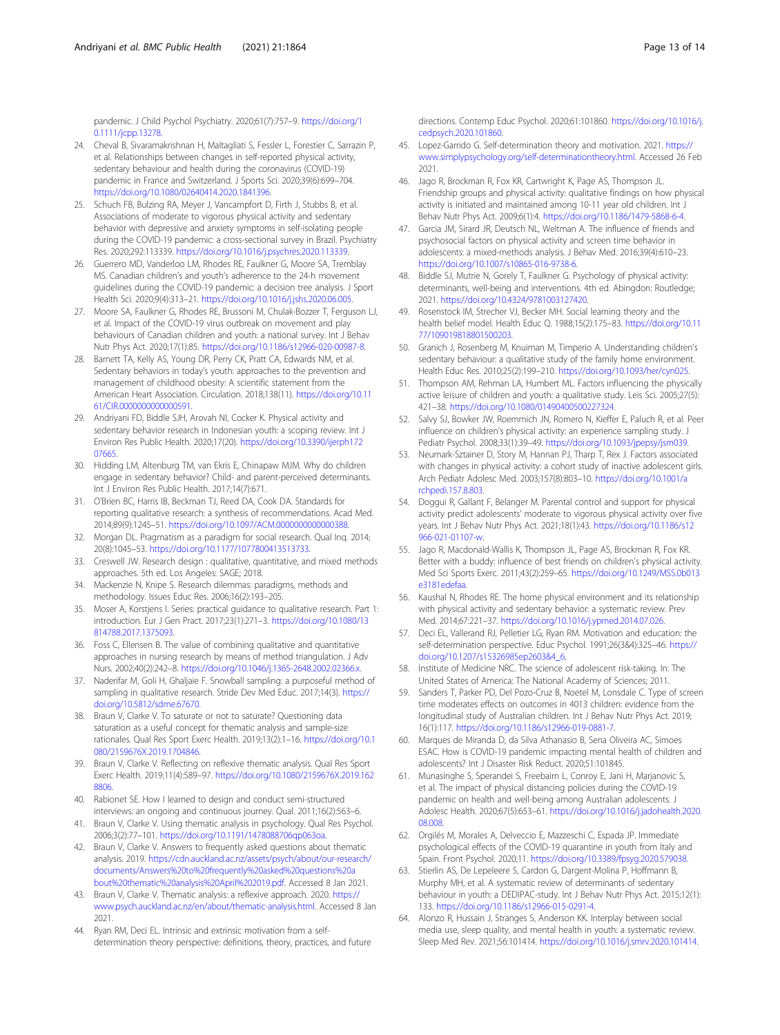<span id="page-12-0"></span>pandemic. J Child Psychol Psychiatry. 2020;61(7):757–9. [https://doi.org/1](https://doi.org/10.1111/jcpp.13278) [0.1111/jcpp.13278.](https://doi.org/10.1111/jcpp.13278)

- 24. Cheval B, Sivaramakrishnan H, Maltagliati S, Fessler L, Forestier C, Sarrazin P, et al. Relationships between changes in self-reported physical activity, sedentary behaviour and health during the coronavirus (COVID-19) pandemic in France and Switzerland. J Sports Sci. 2020;39(6):699–704. <https://doi.org/10.1080/02640414.2020.1841396>.
- 25. Schuch FB, Bulzing RA, Meyer J, Vancampfort D, Firth J, Stubbs B, et al. Associations of moderate to vigorous physical activity and sedentary behavior with depressive and anxiety symptoms in self-isolating people during the COVID-19 pandemic: a cross-sectional survey in Brazil. Psychiatry Res. 2020;292:113339. [https://doi.org/10.1016/j.psychres.2020.113339.](https://doi.org/10.1016/j.psychres.2020.113339)
- 26. Guerrero MD, Vanderloo LM, Rhodes RE, Faulkner G, Moore SA, Tremblay MS. Canadian children's and youth's adherence to the 24-h movement guidelines during the COVID-19 pandemic: a decision tree analysis. J Sport Health Sci. 2020;9(4):313–21. [https://doi.org/10.1016/j.jshs.2020.06.005.](https://doi.org/10.1016/j.jshs.2020.06.005)
- 27. Moore SA, Faulkner G, Rhodes RE, Brussoni M, Chulak-Bozzer T, Ferguson LJ, et al. Impact of the COVID-19 virus outbreak on movement and play behaviours of Canadian children and youth: a national survey. Int J Behav Nutr Phys Act. 2020;17(1):85. <https://doi.org/10.1186/s12966-020-00987-8>.
- 28. Barnett TA, Kelly AS, Young DR, Perry CK, Pratt CA, Edwards NM, et al. Sedentary behaviors in today's youth: approaches to the prevention and management of childhood obesity: A scientific statement from the American Heart Association. Circulation. 2018;138(11). [https://doi.org/10.11](https://doi.org/10.1161/CIR.0000000000000591) [61/CIR.0000000000000591.](https://doi.org/10.1161/CIR.0000000000000591)
- 29. Andriyani FD, Biddle SJH, Arovah NI, Cocker K. Physical activity and sedentary behavior research in Indonesian youth: a scoping review. Int J Environ Res Public Health. 2020;17(20). [https://doi.org/10.3390/ijerph172](https://doi.org/10.3390/ijerph17207665) [07665.](https://doi.org/10.3390/ijerph17207665)
- 30. Hidding LM, Altenburg TM, van Ekris E, Chinapaw MJM. Why do children engage in sedentary behavior? Child- and parent-perceived determinants. Int J Environ Res Public Health. 2017;14(7):671.
- 31. O'Brien BC, Harris IB, Beckman TJ, Reed DA, Cook DA. Standards for reporting qualitative research: a synthesis of recommendations. Acad Med. 2014;89(9):1245–51. [https://doi.org/10.1097/ACM.0000000000000388.](https://doi.org/10.1097/ACM.0000000000000388)
- 32. Morgan DL. Pragmatism as a paradigm for social research. Qual Inq. 2014; 20(8):1045–53. <https://doi.org/10.1177/1077800413513733>.
- 33. Creswell JW. Research design : qualitative, quantitative, and mixed methods approaches. 5th ed. Los Angeles: SAGE; 2018.
- 34. Mackenzie N, Knipe S. Research dilemmas: paradigms, methods and methodology. Issues Educ Res. 2006;16(2):193–205.
- 35. Moser A, Korstjens I. Series: practical guidance to qualitative research. Part 1: introduction. Eur J Gen Pract. 2017;23(1):271–3. [https://doi.org/10.1080/13](https://doi.org/10.1080/13814788.2017.1375093) [814788.2017.1375093](https://doi.org/10.1080/13814788.2017.1375093).
- 36. Foss C, Ellensen B. The value of combining qualitative and quantitative approaches in nursing research by means of method triangulation. J Adv Nurs. 2002;40(2):242–8. <https://doi.org/10.1046/j.1365-2648.2002.02366.x>.
- 37. Naderifar M, Goli H, Ghaljaie F. Snowball sampling: a purposeful method of sampling in qualitative research. Stride Dev Med Educ. 2017;14(3). [https://](https://doi.org/10.5812/sdme.67670) [doi.org/10.5812/sdme.67670](https://doi.org/10.5812/sdme.67670).
- 38. Braun V, Clarke V. To saturate or not to saturate? Questioning data saturation as a useful concept for thematic analysis and sample-size rationales. Qual Res Sport Exerc Health. 2019;13(2):1–16. [https://doi.org/10.1](https://doi.org/10.1080/2159676X.2019.1704846) [080/2159676X.2019.1704846](https://doi.org/10.1080/2159676X.2019.1704846).
- 39. Braun V, Clarke V. Reflecting on reflexive thematic analysis. Qual Res Sport Exerc Health. 2019;11(4):589–97. [https://doi.org/10.1080/2159676X.2019.162](https://doi.org/10.1080/2159676X.2019.1628806) [8806](https://doi.org/10.1080/2159676X.2019.1628806).
- 40. Rabionet SE. How I learned to design and conduct semi-structured interviews: an ongoing and continuous journey. Qual. 2011;16(2):563–6.
- 41. Braun V, Clarke V. Using thematic analysis in psychology. Qual Res Psychol. 2006;3(2):77–101. <https://doi.org/10.1191/1478088706qp063oa>.
- 42. Braun V, Clarke V. Answers to frequently asked questions about thematic analysis. 2019. [https://cdn.auckland.ac.nz/assets/psych/about/our-research/](https://cdn.auckland.ac.nz/assets/psych/about/our-research/documents/Answers%20to%20frequently%20asked%20questions%20about%20thematic%20analysis%20April%202019.pdf) [documents/Answers%20to%20frequently%20asked%20questions%20a](https://cdn.auckland.ac.nz/assets/psych/about/our-research/documents/Answers%20to%20frequently%20asked%20questions%20about%20thematic%20analysis%20April%202019.pdf) [bout%20thematic%20analysis%20April%202019.pdf](https://cdn.auckland.ac.nz/assets/psych/about/our-research/documents/Answers%20to%20frequently%20asked%20questions%20about%20thematic%20analysis%20April%202019.pdf). Accessed 8 Jan 2021.
- 43. Braun V, Clarke V. Thematic analysis: a reflexive approach. 2020. [https://](https://www.psych.auckland.ac.nz/en/about/thematic-analysis.html) [www.psych.auckland.ac.nz/en/about/thematic-analysis.html.](https://www.psych.auckland.ac.nz/en/about/thematic-analysis.html) Accessed 8 Jan 2021.
- 44. Ryan RM, Deci EL. Intrinsic and extrinsic motivation from a selfdetermination theory perspective: definitions, theory, practices, and future

directions. Contemp Educ Psychol. 2020;61:101860. [https://doi.org/10.1016/j.](https://doi.org/10.1016/j.cedpsych.2020.101860) [cedpsych.2020.101860](https://doi.org/10.1016/j.cedpsych.2020.101860).

- 45. Lopez-Garrido G. Self-determination theory and motivation. 2021. [https://](https://www.simplypsychology.org/self-determinationtheory.html) [www.simplypsychology.org/self-determinationtheory.html.](https://www.simplypsychology.org/self-determinationtheory.html) Accessed 26 Feb 2021.
- 46. Jago R, Brockman R, Fox KR, Cartwright K, Page AS, Thompson JL. Friendship groups and physical activity: qualitative findings on how physical activity is initiated and maintained among 10-11 year old children. Int J Behav Nutr Phys Act. 2009;6(1):4. <https://doi.org/10.1186/1479-5868-6-4>.
- 47. Garcia JM, Sirard JR, Deutsch NL, Weltman A. The influence of friends and psychosocial factors on physical activity and screen time behavior in adolescents: a mixed-methods analysis. J Behav Med. 2016;39(4):610–23. <https://doi.org/10.1007/s10865-016-9738-6>.
- 48. Biddle SJ, Mutrie N, Gorely T, Faulkner G. Psychology of physical activity: determinants, well-being and interventions. 4th ed. Abingdon: Routledge; 2021. <https://doi.org/10.4324/9781003127420>.
- 49. Rosenstock IM, Strecher VJ, Becker MH. Social learning theory and the health belief model. Health Educ Q. 1988;15(2):175–83. [https://doi.org/10.11](https://doi.org/10.1177/109019818801500203) [77/109019818801500203](https://doi.org/10.1177/109019818801500203).
- 50. Granich J, Rosenberg M, Knuiman M, Timperio A. Understanding children's sedentary behaviour: a qualitative study of the family home environment. Health Educ Res. 2010;25(2):199–210. [https://doi.org/10.1093/her/cyn025.](https://doi.org/10.1093/her/cyn025)
- 51. Thompson AM, Rehman LA, Humbert ML. Factors influencing the physically active leisure of children and youth: a qualitative study. Leis Sci. 2005;27(5): 421–38. [https://doi.org/10.1080/01490400500227324.](https://doi.org/10.1080/01490400500227324)
- 52. Salvy SJ, Bowker JW, Roemmich JN, Romero N, Kieffer E, Paluch R, et al. Peer influence on children's physical activity: an experience sampling study. J Pediatr Psychol. 2008;33(1):39–49. [https://doi.org/10.1093/jpepsy/jsm039.](https://doi.org/10.1093/jpepsy/jsm039)
- 53. Neumark-Sztainer D, Story M, Hannan PJ, Tharp T, Rex J. Factors associated with changes in physical activity: a cohort study of inactive adolescent girls. Arch Pediatr Adolesc Med. 2003;157(8):803–10. [https://doi.org/10.1001/a](https://doi.org/10.1001/archpedi.157.8.803) [rchpedi.157.8.803.](https://doi.org/10.1001/archpedi.157.8.803)
- 54. Doggui R, Gallant F, Belanger M. Parental control and support for physical activity predict adolescents' moderate to vigorous physical activity over five years. Int J Behav Nutr Phys Act. 2021;18(1):43. [https://doi.org/10.1186/s12](https://doi.org/10.1186/s12966-021-01107-w) [966-021-01107-w.](https://doi.org/10.1186/s12966-021-01107-w)
- 55. Jago R, Macdonald-Wallis K, Thompson JL, Page AS, Brockman R, Fox KR. Better with a buddy: influence of best friends on children's physical activity. Med Sci Sports Exerc. 2011;43(2):259–65. [https://doi.org/10.1249/MSS.0b013](https://doi.org/10.1249/MSS.0b013e3181edefaa) [e3181edefaa.](https://doi.org/10.1249/MSS.0b013e3181edefaa)
- 56. Kaushal N, Rhodes RE. The home physical environment and its relationship with physical activity and sedentary behavior: a systematic review. Prev Med. 2014;67:221–37. [https://doi.org/10.1016/j.ypmed.2014.07.026.](https://doi.org/10.1016/j.ypmed.2014.07.026)
- 57. Deci EL, Vallerand RJ, Pelletier LG, Ryan RM. Motivation and education: the self-determination perspective. Educ Psychol. 1991;26(3&4):325–46. [https://](https://doi.org/10.1207/s15326985ep2603&4_6) [doi.org/10.1207/s15326985ep2603&4\\_6](https://doi.org/10.1207/s15326985ep2603&4_6).
- Institute of Medicine NRC. The science of adolescent risk-taking. In: The United States of America: The National Academy of Sciences; 2011.
- 59. Sanders T, Parker PD, Del Pozo-Cruz B, Noetel M, Lonsdale C. Type of screen time moderates effects on outcomes in 4013 children: evidence from the longitudinal study of Australian children. Int J Behav Nutr Phys Act. 2019; 16(1):117. [https://doi.org/10.1186/s12966-019-0881-7.](https://doi.org/10.1186/s12966-019-0881-7)
- 60. Marques de Miranda D, da Silva Athanasio B, Sena Oliveira AC, Simoes ESAC. How is COVID-19 pandemic impacting mental health of children and adolescents? Int J Disaster Risk Reduct. 2020;51:101845.
- 61. Munasinghe S, Sperandei S, Freebairn L, Conroy E, Jani H, Marjanovic S, et al. The impact of physical distancing policies during the COVID-19 pandemic on health and well-being among Australian adolescents. J Adolesc Health. 2020;67(5):653–61. [https://doi.org/10.1016/j.jadohealth.2020.](https://doi.org/10.1016/j.jadohealth.2020.08.008) [08.008](https://doi.org/10.1016/j.jadohealth.2020.08.008).
- 62. Orgilés M, Morales A, Delveccio E, Mazzeschi C, Espada JP. Immediate psychological effects of the COVID-19 quarantine in youth from Italy and Spain. Front Psychol. 2020;11. [https://doi.org/10.3389/fpsyg.2020.579038.](https://doi.org/10.3389/fpsyg.2020.579038)
- 63. Stierlin AS, De Lepeleere S, Cardon G, Dargent-Molina P, Hoffmann B, Murphy MH, et al. A systematic review of determinants of sedentary behaviour in youth: a DEDIPAC-study. Int J Behav Nutr Phys Act. 2015;12(1): 133. [https://doi.org/10.1186/s12966-015-0291-4.](https://doi.org/10.1186/s12966-015-0291-4)
- 64. Alonzo R, Hussain J, Stranges S, Anderson KK. Interplay between social media use, sleep quality, and mental health in youth: a systematic review. Sleep Med Rev. 2021;56:101414. <https://doi.org/10.1016/j.smrv.2020.101414>.